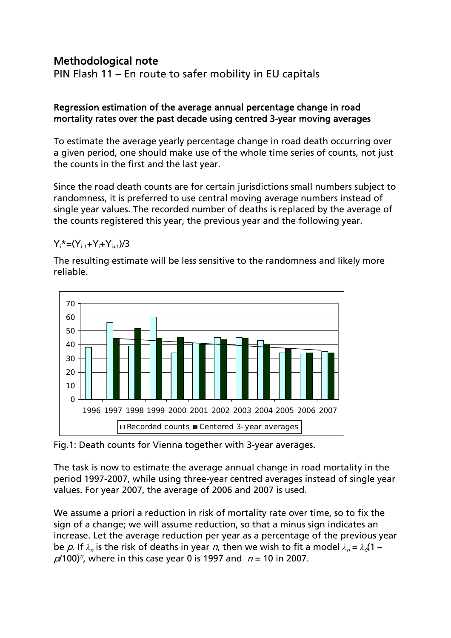## Methodological note

PIN Flash 11 – En route to safer mobility in EU capitals

## Regression estimation of the average annual percentage change in road mortality rates over the past decade using centred 3-year moving averages

To estimate the average yearly percentage change in road death occurring over a given period, one should make use of the whole time series of counts, not just the counts in the first and the last year.

Since the road death counts are for certain jurisdictions small numbers subject to randomness, it is preferred to use central moving average numbers instead of single year values. The recorded number of deaths is replaced by the average of the counts registered this year, the previous year and the following year.

 $Y_i^* = (Y_{i-1} + Y_i + Y_{i+1})/3$ 

The resulting estimate will be less sensitive to the randomness and likely more reliable.



Fig.1: Death counts for Vienna together with 3-year averages.

The task is now to estimate the average annual change in road mortality in the period 1997-2007, while using three-year centred averages instead of single year values. For year 2007, the average of 2006 and 2007 is used.

We assume a priori a reduction in risk of mortality rate over time, so to fix the sign of a change; we will assume reduction, so that a minus sign indicates an increase. Let the average reduction per year as a percentage of the previous year be p. If  $\lambda_n$  is the risk of deaths in year n, then we wish to fit a model  $\lambda_n = \lambda_n(1$  $p/100$ <sup>n</sup>, where in this case year 0 is 1997 and  $n = 10$  in 2007.